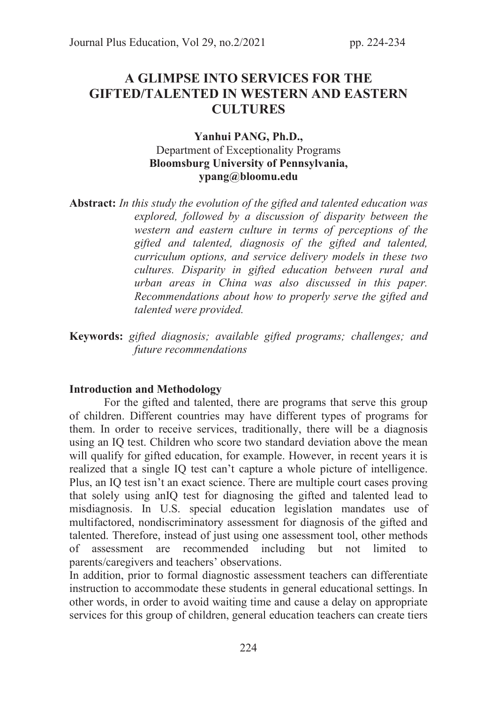# A GLIMPSE INTO SERVICES FOR THE GIFTED/TALENTED IN WESTERN AND EASTERN **CULTURES**

# Yanhui PANG, Ph.D., Department of Exceptionality Programs Bloomsburg University of Pennsylvania, ypang@bloomu.edu

Abstract: *In this study the evolution of the gifted and talented education was explored, followed by a discussion of disparity between the western and eastern culture in terms of perceptions of the gifted and talented, diagnosis of the gifted and talented, curriculum options, and service delivery models in these two cultures. Disparity in gifted education between rural and urban areas in China was also discussed in this paper. Recommendations about how to properly serve the gifted and talented were provided.*

Keywords: *gifted diagnosis; available gifted programs; challenges; and future recommendations*

### Introduction and Methodology

 For the gifted and talented, there are programs that serve this group of children. Different countries may have different types of programs for them. In order to receive services, traditionally, there will be a diagnosis using an IQ test. Children who score two standard deviation above the mean will qualify for gifted education, for example. However, in recent years it is realized that a single IQ test can't capture a whole picture of intelligence. Plus, an IQ test isn't an exact science. There are multiple court cases proving that solely using anIQ test for diagnosing the gifted and talented lead to misdiagnosis. In U.S. special education legislation mandates use of multifactored, nondiscriminatory assessment for diagnosis of the gifted and talented. Therefore, instead of just using one assessment tool, other methods of assessment are recommended including but not limited to parents/caregivers and teachers' observations.

In addition, prior to formal diagnostic assessment teachers can differentiate instruction to accommodate these students in general educational settings. In other words, in order to avoid waiting time and cause a delay on appropriate services for this group of children, general education teachers can create tiers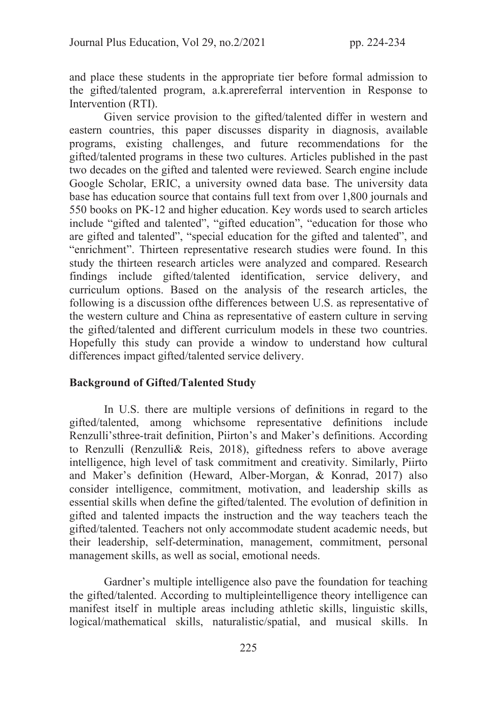and place these students in the appropriate tier before formal admission to the gifted/talented program, a.k.aprereferral intervention in Response to Intervention (RTI).

 Given service provision to the gifted/talented differ in western and eastern countries, this paper discusses disparity in diagnosis, available programs, existing challenges, and future recommendations for the gifted/talented programs in these two cultures. Articles published in the past two decades on the gifted and talented were reviewed. Search engine include Google Scholar, ERIC, a university owned data base. The university data base has education source that contains full text from over 1,800 journals and 550 books on PK-12 and higher education. Key words used to search articles include "gifted and talented", "gifted education", "education for those who are gifted and talented", "special education for the gifted and talented", and "enrichment". Thirteen representative research studies were found. In this study the thirteen research articles were analyzed and compared. Research findings include gifted/talented identification, service delivery, and curriculum options. Based on the analysis of the research articles, the following is a discussion ofthe differences between U.S. as representative of the western culture and China as representative of eastern culture in serving the gifted/talented and different curriculum models in these two countries. Hopefully this study can provide a window to understand how cultural differences impact gifted/talented service delivery.

### Background of Gifted/Talented Study

In U.S. there are multiple versions of definitions in regard to the gifted/talented, among whichsome representative definitions include Renzulli'sthree-trait definition, Piirton's and Maker's definitions. According to Renzulli (Renzulli& Reis, 2018), giftedness refers to above average intelligence, high level of task commitment and creativity. Similarly, Piirto and Maker's definition (Heward, Alber-Morgan, & Konrad, 2017) also consider intelligence, commitment, motivation, and leadership skills as essential skills when define the gifted/talented. The evolution of definition in gifted and talented impacts the instruction and the way teachers teach the gifted/talented. Teachers not only accommodate student academic needs, but their leadership, self-determination, management, commitment, personal management skills, as well as social, emotional needs.

Gardner's multiple intelligence also pave the foundation for teaching the gifted/talented. According to multipleintelligence theory intelligence can manifest itself in multiple areas including athletic skills, linguistic skills, logical/mathematical skills, naturalistic/spatial, and musical skills. In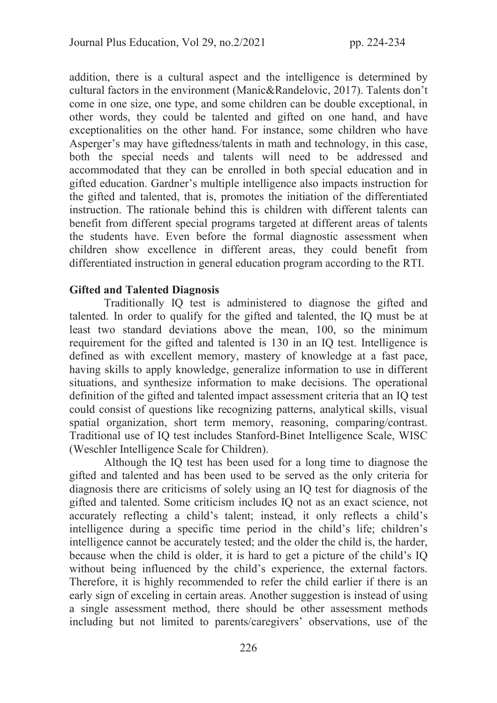addition, there is a cultural aspect and the intelligence is determined by cultural factors in the environment (Manic&Randelovic, 2017). Talents don't come in one size, one type, and some children can be double exceptional, in other words, they could be talented and gifted on one hand, and have exceptionalities on the other hand. For instance, some children who have Asperger's may have giftedness/talents in math and technology, in this case, both the special needs and talents will need to be addressed and accommodated that they can be enrolled in both special education and in gifted education. Gardner's multiple intelligence also impacts instruction for the gifted and talented, that is, promotes the initiation of the differentiated instruction. The rationale behind this is children with different talents can benefit from different special programs targeted at different areas of talents the students have. Even before the formal diagnostic assessment when children show excellence in different areas, they could benefit from differentiated instruction in general education program according to the RTI.

# Gifted and Talented Diagnosis

Traditionally IQ test is administered to diagnose the gifted and talented. In order to qualify for the gifted and talented, the IQ must be at least two standard deviations above the mean, 100, so the minimum requirement for the gifted and talented is 130 in an IQ test. Intelligence is defined as with excellent memory, mastery of knowledge at a fast pace, having skills to apply knowledge, generalize information to use in different situations, and synthesize information to make decisions. The operational definition of the gifted and talented impact assessment criteria that an IQ test could consist of questions like recognizing patterns, analytical skills, visual spatial organization, short term memory, reasoning, comparing/contrast. Traditional use of IQ test includes Stanford-Binet Intelligence Scale, WISC (Weschler Intelligence Scale for Children).

Although the IQ test has been used for a long time to diagnose the gifted and talented and has been used to be served as the only criteria for diagnosis there are criticisms of solely using an IQ test for diagnosis of the gifted and talented. Some criticism includes IQ not as an exact science, not accurately reflecting a child's talent; instead, it only reflects a child's intelligence during a specific time period in the child's life; children's intelligence cannot be accurately tested; and the older the child is, the harder, because when the child is older, it is hard to get a picture of the child's IQ without being influenced by the child's experience, the external factors. Therefore, it is highly recommended to refer the child earlier if there is an early sign of exceling in certain areas. Another suggestion is instead of using a single assessment method, there should be other assessment methods including but not limited to parents/caregivers' observations, use of the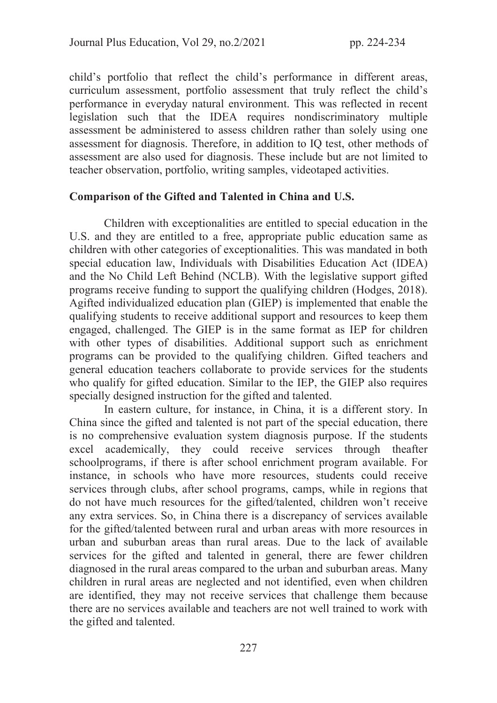child's portfolio that reflect the child's performance in different areas, curriculum assessment, portfolio assessment that truly reflect the child's performance in everyday natural environment. This was reflected in recent legislation such that the IDEA requires nondiscriminatory multiple assessment be administered to assess children rather than solely using one assessment for diagnosis. Therefore, in addition to IQ test, other methods of assessment are also used for diagnosis. These include but are not limited to teacher observation, portfolio, writing samples, videotaped activities.

## Comparison of the Gifted and Talented in China and U.S.

Children with exceptionalities are entitled to special education in the U.S. and they are entitled to a free, appropriate public education same as children with other categories of exceptionalities. This was mandated in both special education law, Individuals with Disabilities Education Act (IDEA) and the No Child Left Behind (NCLB). With the legislative support gifted programs receive funding to support the qualifying children (Hodges, 2018). Agifted individualized education plan (GIEP) is implemented that enable the qualifying students to receive additional support and resources to keep them engaged, challenged. The GIEP is in the same format as IEP for children with other types of disabilities. Additional support such as enrichment programs can be provided to the qualifying children. Gifted teachers and general education teachers collaborate to provide services for the students who qualify for gifted education. Similar to the IEP, the GIEP also requires specially designed instruction for the gifted and talented.

 In eastern culture, for instance, in China, it is a different story. In China since the gifted and talented is not part of the special education, there is no comprehensive evaluation system diagnosis purpose. If the students excel academically, they could receive services through theafter schoolprograms, if there is after school enrichment program available. For instance, in schools who have more resources, students could receive services through clubs, after school programs, camps, while in regions that do not have much resources for the gifted/talented, children won't receive any extra services. So, in China there is a discrepancy of services available for the gifted/talented between rural and urban areas with more resources in urban and suburban areas than rural areas. Due to the lack of available services for the gifted and talented in general, there are fewer children diagnosed in the rural areas compared to the urban and suburban areas. Many children in rural areas are neglected and not identified, even when children are identified, they may not receive services that challenge them because there are no services available and teachers are not well trained to work with the gifted and talented.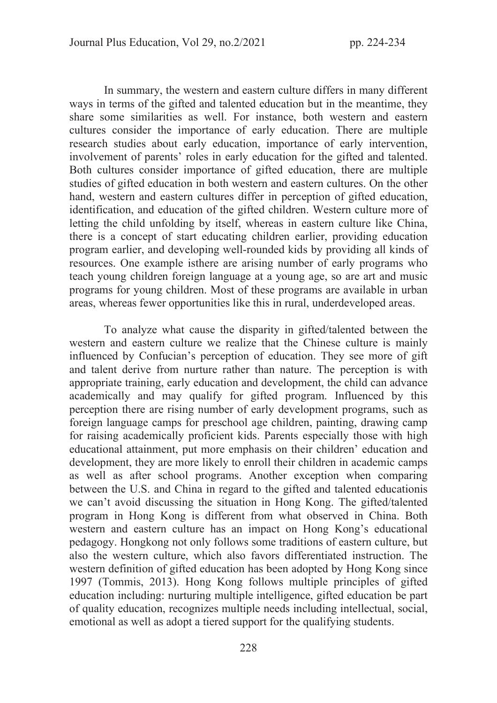In summary, the western and eastern culture differs in many different ways in terms of the gifted and talented education but in the meantime, they share some similarities as well. For instance, both western and eastern cultures consider the importance of early education. There are multiple research studies about early education, importance of early intervention, involvement of parents' roles in early education for the gifted and talented. Both cultures consider importance of gifted education, there are multiple studies of gifted education in both western and eastern cultures. On the other hand, western and eastern cultures differ in perception of gifted education, identification, and education of the gifted children. Western culture more of letting the child unfolding by itself, whereas in eastern culture like China, there is a concept of start educating children earlier, providing education program earlier, and developing well-rounded kids by providing all kinds of resources. One example isthere are arising number of early programs who teach young children foreign language at a young age, so are art and music programs for young children. Most of these programs are available in urban areas, whereas fewer opportunities like this in rural, underdeveloped areas.

To analyze what cause the disparity in gifted/talented between the western and eastern culture we realize that the Chinese culture is mainly influenced by Confucian's perception of education. They see more of gift and talent derive from nurture rather than nature. The perception is with appropriate training, early education and development, the child can advance academically and may qualify for gifted program. Influenced by this perception there are rising number of early development programs, such as foreign language camps for preschool age children, painting, drawing camp for raising academically proficient kids. Parents especially those with high educational attainment, put more emphasis on their children' education and development, they are more likely to enroll their children in academic camps as well as after school programs. Another exception when comparing between the U.S. and China in regard to the gifted and talented educationis we can't avoid discussing the situation in Hong Kong. The gifted/talented program in Hong Kong is different from what observed in China. Both western and eastern culture has an impact on Hong Kong's educational pedagogy. Hongkong not only follows some traditions of eastern culture, but also the western culture, which also favors differentiated instruction. The western definition of gifted education has been adopted by Hong Kong since 1997 (Tommis, 2013). Hong Kong follows multiple principles of gifted education including: nurturing multiple intelligence, gifted education be part of quality education, recognizes multiple needs including intellectual, social, emotional as well as adopt a tiered support for the qualifying students.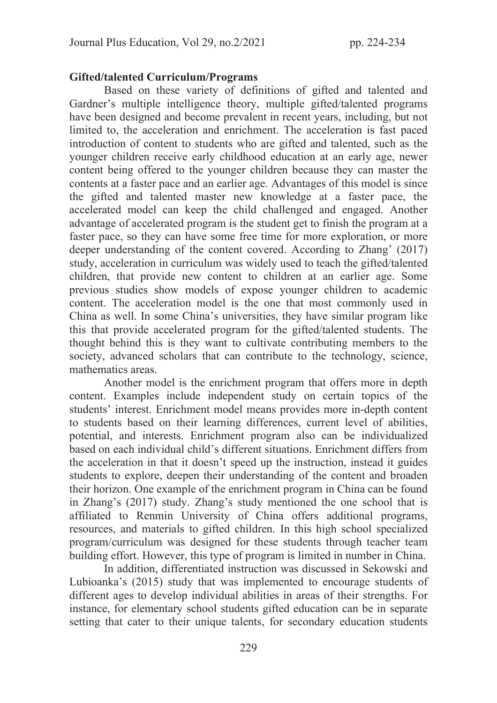## Gifted/talented Curriculum/Programs

Based on these variety of definitions of gifted and talented and Gardner's multiple intelligence theory, multiple gifted/talented programs have been designed and become prevalent in recent years, including, but not limited to, the acceleration and enrichment. The acceleration is fast paced introduction of content to students who are gifted and talented, such as the younger children receive early childhood education at an early age, newer content being offered to the younger children because they can master the contents at a faster pace and an earlier age. Advantages of this model is since the gifted and talented master new knowledge at a faster pace, the accelerated model can keep the child challenged and engaged. Another advantage of accelerated program is the student get to finish the program at a faster pace, so they can have some free time for more exploration, or more deeper understanding of the content covered. According to Zhang' (2017) study, acceleration in curriculum was widely used to teach the gifted/talented children, that provide new content to children at an earlier age. Some previous studies show models of expose younger children to academic content. The acceleration model is the one that most commonly used in China as well. In some China's universities, they have similar program like this that provide accelerated program for the gifted/talented students. The thought behind this is they want to cultivate contributing members to the society, advanced scholars that can contribute to the technology, science, mathematics areas.

Another model is the enrichment program that offers more in depth content. Examples include independent study on certain topics of the students' interest. Enrichment model means provides more in-depth content to students based on their learning differences, current level of abilities, potential, and interests. Enrichment program also can be individualized based on each individual child's different situations. Enrichment differs from the acceleration in that it doesn't speed up the instruction, instead it guides students to explore, deepen their understanding of the content and broaden their horizon. One example of the enrichment program in China can be found in Zhang's (2017) study. Zhang's study mentioned the one school that is affiliated to Renmin University of China offers additional programs, resources, and materials to gifted children. In this high school specialized program/curriculum was designed for these students through teacher team building effort. However, this type of program is limited in number in China.

In addition, differentiated instruction was discussed in Sekowski and Lubioanka's (2015) study that was implemented to encourage students of different ages to develop individual abilities in areas of their strengths. For instance, for elementary school students gifted education can be in separate setting that cater to their unique talents, for secondary education students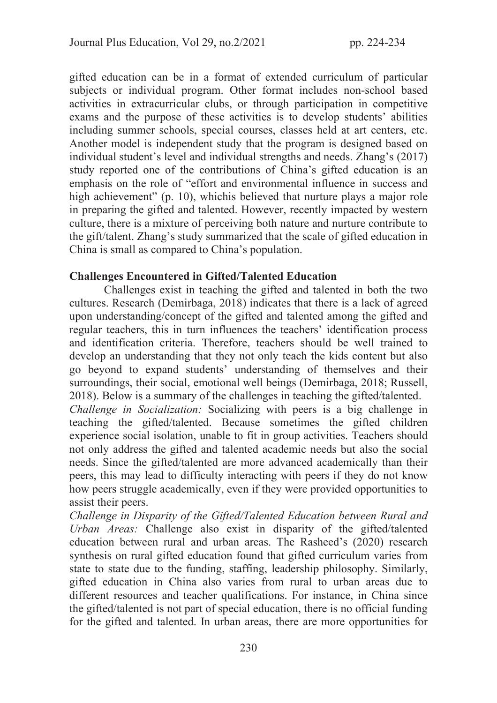gifted education can be in a format of extended curriculum of particular subjects or individual program. Other format includes non-school based activities in extracurricular clubs, or through participation in competitive exams and the purpose of these activities is to develop students' abilities including summer schools, special courses, classes held at art centers, etc. Another model is independent study that the program is designed based on individual student's level and individual strengths and needs. Zhang's (2017) study reported one of the contributions of China's gifted education is an emphasis on the role of "effort and environmental influence in success and high achievement" (p. 10), which is believed that nurture plays a major role in preparing the gifted and talented. However, recently impacted by western culture, there is a mixture of perceiving both nature and nurture contribute to the gift/talent. Zhang's study summarized that the scale of gifted education in China is small as compared to China's population.

# Challenges Encountered in Gifted/Talented Education

Challenges exist in teaching the gifted and talented in both the two cultures. Research (Demirbaga, 2018) indicates that there is a lack of agreed upon understanding/concept of the gifted and talented among the gifted and regular teachers, this in turn influences the teachers' identification process and identification criteria. Therefore, teachers should be well trained to develop an understanding that they not only teach the kids content but also go beyond to expand students' understanding of themselves and their surroundings, their social, emotional well beings (Demirbaga, 2018; Russell, 2018). Below is a summary of the challenges in teaching the gifted/talented.

*Challenge in Socialization:* Socializing with peers is a big challenge in teaching the gifted/talented. Because sometimes the gifted children experience social isolation, unable to fit in group activities. Teachers should not only address the gifted and talented academic needs but also the social needs. Since the gifted/talented are more advanced academically than their peers, this may lead to difficulty interacting with peers if they do not know how peers struggle academically, even if they were provided opportunities to assist their peers.

*Challenge in Disparity of the Gifted/Talented Education between Rural and Urban Areas:* Challenge also exist in disparity of the gifted/talented education between rural and urban areas. The Rasheed's (2020) research synthesis on rural gifted education found that gifted curriculum varies from state to state due to the funding, staffing, leadership philosophy. Similarly, gifted education in China also varies from rural to urban areas due to different resources and teacher qualifications. For instance, in China since the gifted/talented is not part of special education, there is no official funding for the gifted and talented. In urban areas, there are more opportunities for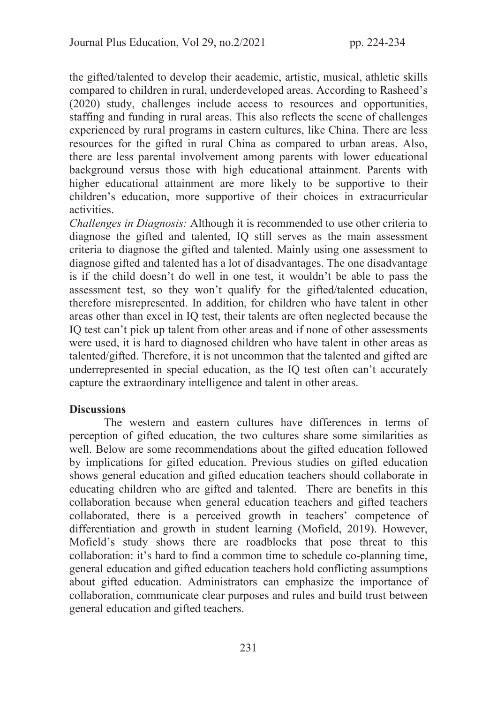the gifted/talented to develop their academic, artistic, musical, athletic skills compared to children in rural, underdeveloped areas. According to Rasheed's (2020) study, challenges include access to resources and opportunities, staffing and funding in rural areas. This also reflects the scene of challenges experienced by rural programs in eastern cultures, like China. There are less resources for the gifted in rural China as compared to urban areas. Also, there are less parental involvement among parents with lower educational background versus those with high educational attainment. Parents with higher educational attainment are more likely to be supportive to their children's education, more supportive of their choices in extracurricular activities.

*Challenges in Diagnosis:* Although it is recommended to use other criteria to diagnose the gifted and talented, IQ still serves as the main assessment criteria to diagnose the gifted and talented. Mainly using one assessment to diagnose gifted and talented has a lot of disadvantages. The one disadvantage is if the child doesn't do well in one test, it wouldn't be able to pass the assessment test, so they won't qualify for the gifted/talented education, therefore misrepresented. In addition, for children who have talent in other areas other than excel in IQ test, their talents are often neglected because the IQ test can't pick up talent from other areas and if none of other assessments were used, it is hard to diagnosed children who have talent in other areas as talented/gifted. Therefore, it is not uncommon that the talented and gifted are underrepresented in special education, as the IQ test often can't accurately capture the extraordinary intelligence and talent in other areas.

### **Discussions**

 The western and eastern cultures have differences in terms of perception of gifted education, the two cultures share some similarities as well. Below are some recommendations about the gifted education followed by implications for gifted education. Previous studies on gifted education shows general education and gifted education teachers should collaborate in educating children who are gifted and talented. There are benefits in this collaboration because when general education teachers and gifted teachers collaborated, there is a perceived growth in teachers' competence of differentiation and growth in student learning (Mofield, 2019). However, Mofield's study shows there are roadblocks that pose threat to this collaboration: it's hard to find a common time to schedule co-planning time, general education and gifted education teachers hold conflicting assumptions about gifted education. Administrators can emphasize the importance of collaboration, communicate clear purposes and rules and build trust between general education and gifted teachers.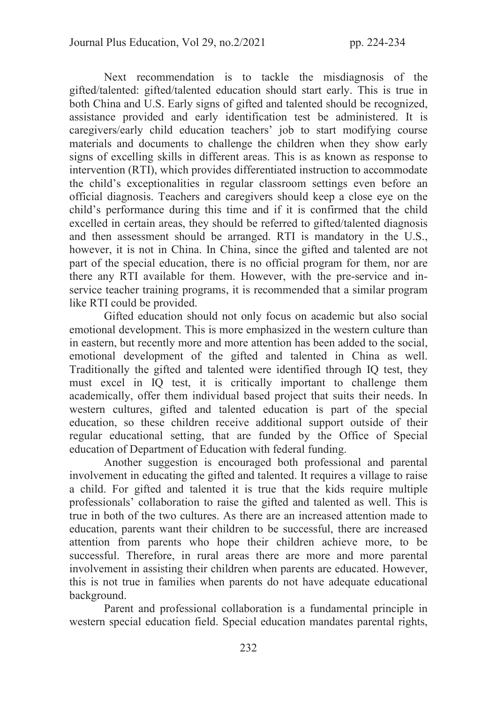Next recommendation is to tackle the misdiagnosis of the gifted/talented: gifted/talented education should start early. This is true in both China and U.S. Early signs of gifted and talented should be recognized, assistance provided and early identification test be administered. It is caregivers/early child education teachers' job to start modifying course materials and documents to challenge the children when they show early signs of excelling skills in different areas. This is as known as response to intervention (RTI), which provides differentiated instruction to accommodate the child's exceptionalities in regular classroom settings even before an official diagnosis. Teachers and caregivers should keep a close eye on the child's performance during this time and if it is confirmed that the child excelled in certain areas, they should be referred to gifted/talented diagnosis and then assessment should be arranged. RTI is mandatory in the U.S., however, it is not in China. In China, since the gifted and talented are not part of the special education, there is no official program for them, nor are there any RTI available for them. However, with the pre-service and inservice teacher training programs, it is recommended that a similar program like RTI could be provided.

Gifted education should not only focus on academic but also social emotional development. This is more emphasized in the western culture than in eastern, but recently more and more attention has been added to the social, emotional development of the gifted and talented in China as well. Traditionally the gifted and talented were identified through IQ test, they must excel in IQ test, it is critically important to challenge them academically, offer them individual based project that suits their needs. In western cultures, gifted and talented education is part of the special education, so these children receive additional support outside of their regular educational setting, that are funded by the Office of Special education of Department of Education with federal funding.

Another suggestion is encouraged both professional and parental involvement in educating the gifted and talented. It requires a village to raise a child. For gifted and talented it is true that the kids require multiple professionals' collaboration to raise the gifted and talented as well. This is true in both of the two cultures. As there are an increased attention made to education, parents want their children to be successful, there are increased attention from parents who hope their children achieve more, to be successful. Therefore, in rural areas there are more and more parental involvement in assisting their children when parents are educated. However, this is not true in families when parents do not have adequate educational background.

Parent and professional collaboration is a fundamental principle in western special education field. Special education mandates parental rights,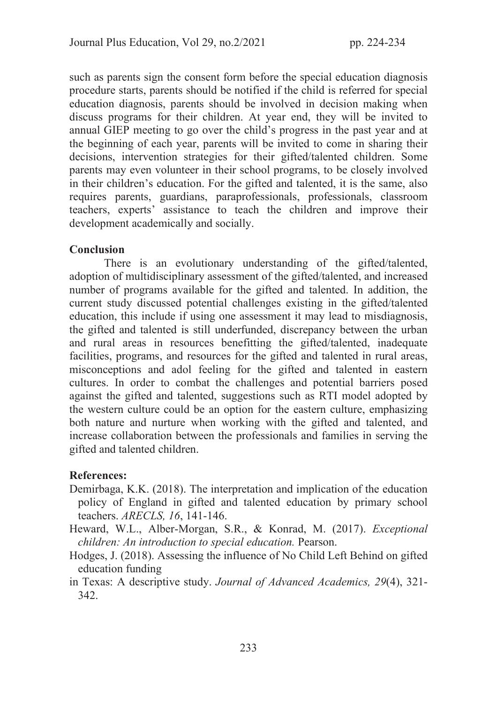such as parents sign the consent form before the special education diagnosis procedure starts, parents should be notified if the child is referred for special education diagnosis, parents should be involved in decision making when discuss programs for their children. At year end, they will be invited to annual GIEP meeting to go over the child's progress in the past year and at the beginning of each year, parents will be invited to come in sharing their decisions, intervention strategies for their gifted/talented children. Some parents may even volunteer in their school programs, to be closely involved in their children's education. For the gifted and talented, it is the same, also requires parents, guardians, paraprofessionals, professionals, classroom teachers, experts' assistance to teach the children and improve their development academically and socially.

# Conclusion

There is an evolutionary understanding of the gifted/talented, adoption of multidisciplinary assessment of the gifted/talented, and increased number of programs available for the gifted and talented. In addition, the current study discussed potential challenges existing in the gifted/talented education, this include if using one assessment it may lead to misdiagnosis, the gifted and talented is still underfunded, discrepancy between the urban and rural areas in resources benefitting the gifted/talented, inadequate facilities, programs, and resources for the gifted and talented in rural areas, misconceptions and adol feeling for the gifted and talented in eastern cultures. In order to combat the challenges and potential barriers posed against the gifted and talented, suggestions such as RTI model adopted by the western culture could be an option for the eastern culture, emphasizing both nature and nurture when working with the gifted and talented, and increase collaboration between the professionals and families in serving the gifted and talented children.

# References:

- Demirbaga, K.K. (2018). The interpretation and implication of the education policy of England in gifted and talented education by primary school teachers. *ARECLS, 16*, 141-146.
- Heward, W.L., Alber-Morgan, S.R., & Konrad, M. (2017). *Exceptional children: An introduction to special education.* Pearson.
- Hodges, J. (2018). Assessing the influence of No Child Left Behind on gifted education funding
- in Texas: A descriptive study. *Journal of Advanced Academics, 29*(4), 321- 342.